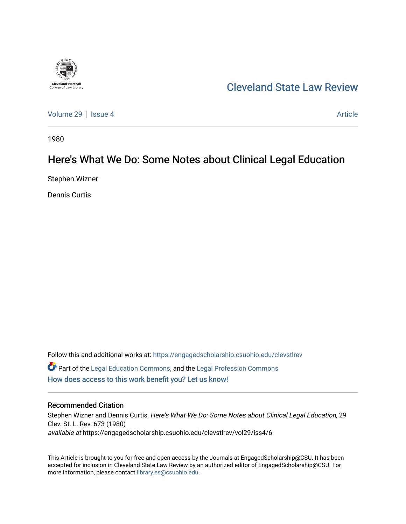

# [Cleveland State Law Review](https://engagedscholarship.csuohio.edu/clevstlrev)

[Volume 29](https://engagedscholarship.csuohio.edu/clevstlrev/vol29) | [Issue 4](https://engagedscholarship.csuohio.edu/clevstlrev/vol29/iss4) Article

1980

# Here's What We Do: Some Notes about Clinical Legal Education

Stephen Wizner

Dennis Curtis

Follow this and additional works at: [https://engagedscholarship.csuohio.edu/clevstlrev](https://engagedscholarship.csuohio.edu/clevstlrev?utm_source=engagedscholarship.csuohio.edu%2Fclevstlrev%2Fvol29%2Fiss4%2F6&utm_medium=PDF&utm_campaign=PDFCoverPages) Part of the [Legal Education Commons,](http://network.bepress.com/hgg/discipline/857?utm_source=engagedscholarship.csuohio.edu%2Fclevstlrev%2Fvol29%2Fiss4%2F6&utm_medium=PDF&utm_campaign=PDFCoverPages) and the [Legal Profession Commons](http://network.bepress.com/hgg/discipline/1075?utm_source=engagedscholarship.csuohio.edu%2Fclevstlrev%2Fvol29%2Fiss4%2F6&utm_medium=PDF&utm_campaign=PDFCoverPages)  [How does access to this work benefit you? Let us know!](http://library.csuohio.edu/engaged/)

## Recommended Citation

Stephen Wizner and Dennis Curtis, Here's What We Do: Some Notes about Clinical Legal Education, 29 Clev. St. L. Rev. 673 (1980) available at https://engagedscholarship.csuohio.edu/clevstlrev/vol29/iss4/6

This Article is brought to you for free and open access by the Journals at EngagedScholarship@CSU. It has been accepted for inclusion in Cleveland State Law Review by an authorized editor of EngagedScholarship@CSU. For more information, please contact [library.es@csuohio.edu](mailto:library.es@csuohio.edu).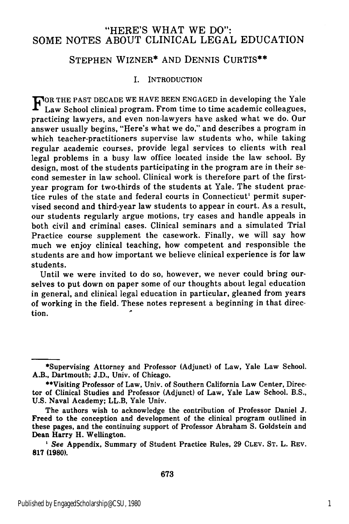# "HERE'S WHAT WE DO": SOME NOTES ABOUT CLINICAL LEGAL EDUCATION

# STEPHEN WIZNER\* AND DENNIS CURTIS\*\*

#### I. INTRODUCTION

FOR THE PAST DECADE WE HAVE BEEN ENGAGED in developing the Yale Law School clinical program. From time to time academic colleagues, practicing lawyers, and even non-lawyers have asked what we do. Our answer usually begins, "Here's what we do," and describes a program in which teacher-practitioners supervise law students who, while taking regular academic courses, provide legal services to clients with real legal problems in a busy law office located inside the law school. By design, most of the students participating in the program are in their second semester in law school. Clinical work is therefore part of the firstyear program for two-thirds of the students at Yale. The student practice rules of the state and federal courts in Connecticut' permit supervised second and third-year law students to appear in court. As a result, our students regularly argue motions, try cases and handle appeals in both civil and criminal cases. Clinical seminars and a simulated Trial Practice course supplement the casework. Finally, we will say how much we enjoy clinical teaching, how competent and responsible the students are and how important we believe clinical experience is for law students.

Until we were invited to do so, however, we never could bring ourselves to put down on paper some of our thoughts about legal education in general, and clinical legal education in particular, gleaned from years of working in the field. These notes represent a beginning in that direc**tion.**

<sup>\*</sup>Supervising Attorney and Professor (Adjunct) of Law, Yale Law School. A.B., Dartmouth; **J.D.,** Univ. of Chicago.

<sup>\*\*</sup>Visiting Professor of Law, Univ. of Southern California Law Center, Director of Clinical Studies and Professor (Adjunct) of Law, Yale Law School. B.S., **U.S.** Naval Academy; LL.B, Yale Univ.

The authors wish to acknowledge the contribution of Professor Daniel **J.** Freed to the conception and development of the clinical program outlined in these pages, and the continuing support of Professor Abraham **S.** Goldstein and Dean Harry H. Wellington.

*<sup>&#</sup>x27; See* Appendix, Summary of Student Practice Rules, **29 CLEV. ST.** L. REV. **817 (1980).**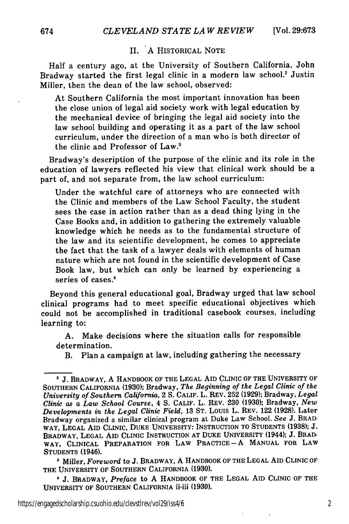## II. **A** HISTORICAL NOTE

Half a century ago, at the University of Southern California, John Bradway started the first legal clinic in a modern law school.' Justin Miller, then the dean of the law school, observed:

At Southern California the most important innovation has been the close union of legal aid society work with legal education by the mechanical device of bringing the legal aid society into the law school building and operating it as a part of the law school curriculum, under the direction of a man who is both director of the clinic and Professor of Law.'

Bradway's description of the purpose of the clinic and its role in the education of lawyers reflected his view that clinical work should be a part of, and not separate from, the law school curriculum:

Under the watchful care of attorneys who are connected with the Clinic and members of the Law School Faculty, the student sees the case in action rather than as a dead thing lying in the Case Books and, in addition to gathering the extremely valuable knowledge which he needs as to the fundamental structure of the law and its scientific development, he comes to appreciate the fact that the task of a lawyer deals with elements of human nature which are not found in the scientific development of Case Book law, but which can only be learned by experiencing a series of cases.'

Beyond this general educational goal, Bradway urged that law school clinical programs had to meet specific educational objectives which could not be accomplished in traditional casebook courses, including learning to:

A. Make decisions where the situation calls for responsible determination.

B. Plan a campaign at law, including gathering the necessary

**1** Miller, *Foreword* to **J.** BRADWAY, **A** HANDBOOK OF THE **LEGAL** AID CLINIC OF THE **UNIVERSITY** OF **SOUTHERN** CALIFORNIA **(1930).**

J **J.** BRADWAY, *Preface* to **A** HANDBOOK OF THE **LEGAL** AID CLINIC OF THE **UNIVERSITY** OF **SOUTHERN** CALIFORNIA ii-iii **(1930).**

**j.** BRADWAY, **A** HANDBOOK OF THE **LEGAL** AID CLINIC OF THE UNIVERSITY OF SOUTHERN CALIFORNIA (1930); Bradway, *The Beginning of the Legal Clinic of the University of Southern California,* 2 S. CALIF. L. REV. 252 (1929); Bradway, *Legal Clinic as a Law School Course,* 4 S. **CALIF.** L. REV. 230 (1930); Bradway, *New Developments in the Legal Clinic Field,* 13 ST. LOUIS L. REV. 122 (1928). Later Bradway organized a similar clinical program at Duke Law School. *See* J. BRAD-WAY, **LEGAL AID** CLINIC, **DUKE** UNIVERSITY: INSTRUCTION TO STUDENTS **(1938); J.** BRADWAY, **LEGAL** AID CLINIC INSTRUCTION **AT DUKE** UNIVERSITY (1944); **J.** BRAD-WAY, CLINICAL PREPARATION FOR LAW PRACTICE **-** A **MANUAL** FOR LAW **STUDENTS** (1946).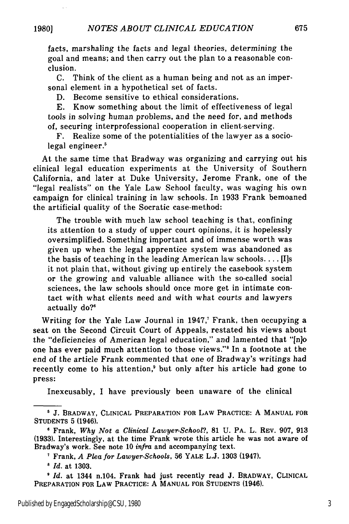facts, marshaling the facts and legal theories, determining the goal and means; and then carry out the plan to a reasonable conclusion.

C. Think of the client as a human being and not as an impersonal element in a hypothetical set of facts.

D. Become sensitive to ethical considerations.

E. Know something about the limit of effectiveness of legal tools in solving human problems, and the need for, and methods of, securing interprofessional cooperation in client-serving.

F. Realize some of the potentialities of the lawyer as a sociolegal engineer.'

At the same time that Bradway was organizing and carrying out his clinical legal education experiments at the University of Southern California, and later at Duke University, Jerome Frank, one of the "legal realists" on the Yale Law School faculty, was waging his own campaign for clinical training in law schools. In 1933 Frank bemoaned the artificial quality of the Socratic case-method:

The trouble with much law school teaching is that, confining its attention to a study of upper court opinions, it is hopelessly oversimplified. Something important and of immense worth was given up when the legal apprentice system was abandoned as the basis of teaching in the leading American law schools.... [I]s it not plain that, without giving up entirely the casebook system or the growing and valuable alliance with the so-called social sciences, the law schools should once more get in intimate contact with what clients need and with what courts and lawyers actually do?'

Writing for the Yale Law Journal in 1947,<sup>7</sup> Frank, then occupying a seat on the Second Circuit Court of Appeals, restated his views about the "deficiencies of American legal education," and lamented that "[njo one has ever paid much attention to those views."8 In a footnote at the end of the article Frank commented that one of Bradway's writings had recently come to his attention,<sup>9</sup> but only after his article had gone to press:

Inexcusably, I have previously been unaware of the clinical

**<sup>5</sup> J.** BRADWAY, CLINICAL PREPARATION FOR LAW PRACTICE: A **MANUAL** FOR STUDENTS 5 (1946).

**<sup>6</sup>** Frank, *Why Not a Clinical Lawyer-School?,* 81 U. PA. L. REV. 907, 913 (1933). Interestingly, at the time Frank wrote this article he was not aware of Bradway's work. See note 10 *infra* and accompanying text.

Frank, *A Plea for Lawyer-Schools,* 56 YALE L.J. 1303 (1947).

*<sup>8</sup> Id.* at 1303.

*Id.* at 1344 n.104. Frank had just recently read J. BRADWAY, CLINICAL PREPARATION FOR LAW PRACTICE: A **MANUAL** FOR **STUDENTS** (1946).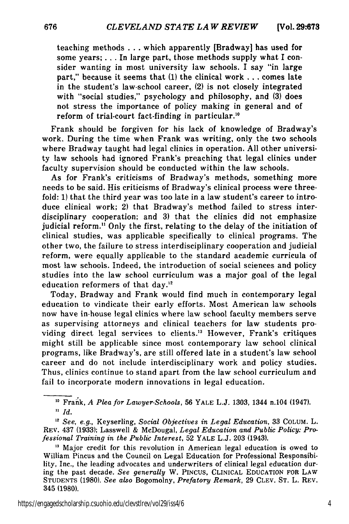teaching methods . **..** which apparently [Bradway] has used for some years; ... In large part, those methods supply what I consider wanting in most university law schools. I say "in large part," because it seems that **(1)** the clinical work **...** comes late in the student's law-school career, (2) is not closely integrated with "social studies," psychology and philosophy, and **(3)** does not stress the importance of policy making in general and of reform of trial-court fact-finding in particular."

Frank should be forgiven for his lack of knowledge of Bradway's work. During the time when Frank was writing, only the two schools where Bradway taught had legal clinics in operation. All other university law schools had ignored Frank's preaching that legal clinics under faculty supervision should be conducted within the law schools.

As for Frank's criticisms of Bradway's methods, something more needs to be said. His criticisms of Bradway's clinical process were threefold: **1)** that the third year was too late in a law student's career to introduce clinical work; 2) that Bradway's method failed to stress interdisciplinary cooperation; and **3)** that the clinics did not emphasize judicial reform." Only the first, relating to the delay of the initiation of clinical studies, was applicable specifically to clinical programs. The other two, the failure to stress interdisciplinary cooperation and judicial reform, were equally applicable to the standard academic curricula of most law schools. Indeed, the introduction of social sciences and policy studies into the law school curriculum was a major goal of the legal education reformers of that day. $^{12}$ 

Today, Bradway and Frank would find much in contemporary legal education to vindicate their early efforts. Most American law schools now have in-house legal clinics where law school faculty members serve as supervising attorneys and clinical teachers for law students providing direct legal services to clients.<sup>13</sup> However, Frank's critiques might still be applicable since most contemporary law school clinical programs, like Bradway's, are still offered late in a student's law school career and do not include interdisciplinary work and policy studies. Thus, clinics continue to stand apart from the law school curriculum and fail to incorporate modern innovations in legal education.

Frank, *A Plea for Lawyer-Schools,* 56 YALE L.J. 1303, 1344 n.104 (1947). **"** *Id.*

*12 See, e.g.,* Keyserling, *Social Objectives in Legal Education,* 33 COLUM. L. REV. 437 (1933); Lasswell & McDougal, *Legal Education and Public Policy: Professional Training in the Public Interest,* 52 YALE L.J. 203 (1943).

https://engagedscholarship.csuohio.edu/clevstlrev/vol29/iss4/6 4

<sup>&</sup>lt;sup>13</sup> Major credit for this revolution in American legal education is owed to William Pincus and the Council on Legal Education for Professional Responsibility, Inc., the leading advocates and underwriters of clinical legal education during the past decade. *See generally* W. PINCUS, CLINICAL EDUCATION FOR LAW STUDENTS (1980). *See also* Bogomolny, *Prefatory Remark,* 29 CLEV. ST. L. REV. 345 (1980).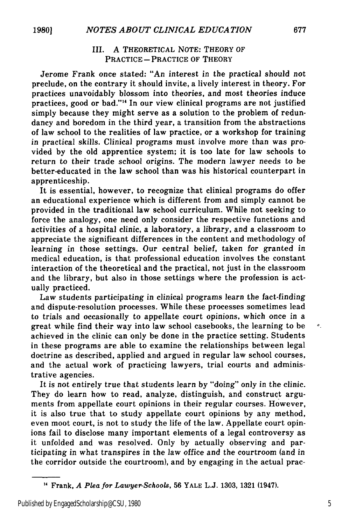## III. A THEORETICAL NOTE: THEORY OF PRACTICE - PRACTICE OF THEORY

Jerome Frank once stated: "An interest in the practical should not preclude, on the contrary it should invite, a lively interest in theory. For practices unavoidably blossom into theories, and most theories induce practices, good or bad."'" In our view clinical programs are not justified simply because they might serve as a solution to the problem of redundancy and boredom in the third year, a transition from the abstractions of law school to the realities of law practice, or a workshop for training in practical skills. Clinical programs must involve more than was provided by the old apprentice system; it is too late for law schools to return to their trade school origins. The modern lawyer needs to be better-educated in the law school than was his historical counterpart in apprenticeship.

It is essential, however, to recognize that clinical programs do offer an educational experience which is different from and simply cannot be provided in the traditional law school curriculum. While not seeking to force the analogy, one need only consider the respective functions and activities of a hospital clinic, a laboratory, a library, and a classroom to appreciate the significant differences in the content and methodology of learning in those settings. Our central belief, taken for granted in medical education, is that professional education involves the constant interaction of the theoretical and the practical, not just in the classroom and the library, but also in those settings where the profession is actually practiced.

Law students participating in clinical programs learn the fact-finding and dispute-resolution processes. While these processes sometimes lead to trials and occasionally to appellate court opinions, which once in a great while find their way into law school casebooks, the learning to be achieved in the clinic can only be done in the practice setting. Students in these programs are able to examine the relationships between legal doctrine as described, applied and argued in regular law school courses, and the actual work of practicing lawyers, trial courts and administrative agencies.

It is not entirely true that students learn by "doing" only in the clinic. They do learn how to read, analyze, distinguish, and construct arguments from appellate court opinions in their regular courses. However, it is also true that to study appellate court opinions by any method, even moot court, is not to study the life of the law. Appellate court opinions fail to disclose many important elements of a legal controversy as it unfolded and was resolved. Only by actually observing and participating in what transpires in the law office and the courtroom (and in the corridor outside the courtroom), and by engaging in the actual prac $\pmb{\sigma}$ 

<sup>&</sup>quot; Frank, *A Plea for Lawyer-Schools,* **56** YALE L.J. **1303, 1321** (1947).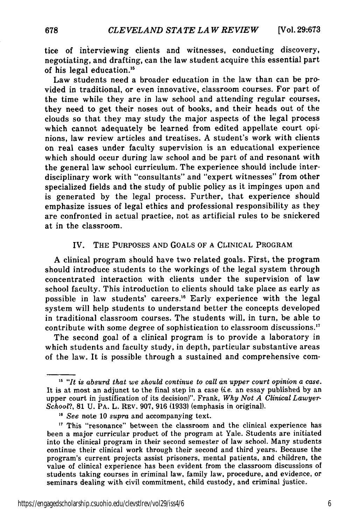tice of interviewing clients and witnesses, conducting discovery, negotiating, and drafting, can the law student acquire this essential part of his legal education."5

Law students need a broader education in the law than can be provided in traditional, or even innovative, classroom courses. For part of the time while they are in law school and attending regular courses, they need to get their noses out of books, and their heads out of the clouds so that they may study the major aspects of the legal process which cannot adequately be learned from edited appellate court opinions, law review articles and treatises. **A** student's work with clients on real cases under faculty supervision is an educational experience which should occur during law school and be part of and resonant with the general law school curriculum. The experience should include interdisciplinary work with "consultants" and "expert witnesses" from other specialized fields and the study of public policy as it impinges upon and is generated **by** the legal process. Further, that experience should emphasize issues of legal ethics and professional responsibility as they are confronted in actual practice, not as artificial rules to be snickered at in the classroom.

### IV. THE **PURPOSES AND GOALS** OF **A** CLINICAL PROGRAM

**A** clinical program should have two related goals. First, the program should introduce students to the workings of the legal system through concentrated interaction with clients under the supervision of law school faculty. This introduction to clients should take place as early as possible in law students' careers.<sup>16</sup> Early experience with the legal system will help students to understand better the concepts developed in traditional classroom courses. The students will, in turn, be able to contribute with some degree of sophistication to classroom discussions.<sup>17</sup>

The second goal of a clinical program is to provide a laboratory in which students and faculty study, in depth, particular substantive areas of the law. It is possible through a sustained and comprehensive com-

<sup>&</sup>lt;sup>15</sup> "It is absurd that we should continue to call an upper court opinion a case. It is at most an adjunct to the final step in a case *(ie.* an essay published by an upper court in justification of its decision)". Frank, *Why Not A Clinical Lawyer-School?,* **81** U. PA. L. REv. 907, 916 (1933) (emphasis in original). *"6 See* note 10 *supra* and accompanying text.

<sup>&</sup>lt;sup>17</sup> This "resonance" between the classroom and the clinical experience has been a major curricular product of the program at Yale. Students are initiated into the clinical program in their second semester of law school. Many students continue their clinical work through their second and third years. Because the program's current projects assist prisoners, mental patients, and children, the value of clinical experience has been evident from the classroom discussions of students taking courses in criminal law, family law, procedure, and evidence, or seminars dealing with civil commitment, child custody, and criminal justice.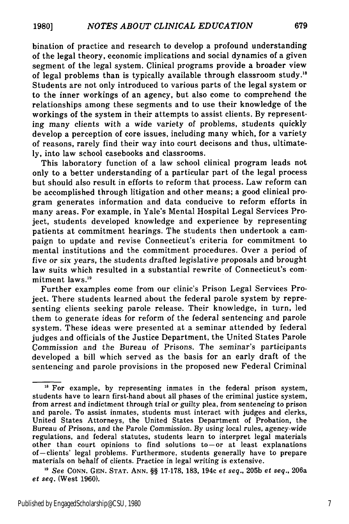bination of practice and research to develop a profound understanding of the legal theory, economic implications and social dynamics of a given segment of the legal system. Clinical programs provide a broader view of legal problems than is typically available through classroom study.'8 Students are not only introduced to various parts of the legal system or to the inner workings of an agency, but also come to comprehend the relationships among these segments and to use their knowledge of the workings of the system in their attempts to assist clients. By representing many clients with a wide variety of problems, students quickly develop a perception of core issues, including many which, for a variety of reasons, rarely find their way into court decisons and thus, ultimately, into law school casebooks and classrooms.

This laboratory function of a law school clinical program leads not only to a better understanding of a particular part of the legal process but should also result in efforts to reform that process. Law reform can be accomplished through litigation and other means; a good clinical program generates information and data conducive to reform efforts in many areas. For example, in Yale's Mental Hospital Legal Services Project, students developed knowledge and experience by representing patients at commitment hearings. The students then undertook a campaign to update and revise Connecticut's criteria for commitment to mental institutions and the commitment procedures. Over a period of five or six years, the students drafted legislative proposals and brought law suits which resulted in a substantial rewrite of Connecticut's commitment laws.<sup>19</sup>

Further examples come from our clinic's Prison Legal Services Project. There students learned about the federal parole system by representing clients seeking parole release. Their knowledge, in turn, led them to generate ideas for reform of the federal sentencing and parole system. These ideas were presented at a seminar attended by federal judges and officials of the Justice Department, the United States Parole Commission and the Bureau of Prisons. The seminar's participants developed a bill which served as the basis for an early draft of the sentencing and parole provisions in the proposed new Federal Criminal

679

<sup>&</sup>lt;sup>18</sup> For example, by representing inmates in the federal prison system, students have to learn first-hand about all phases of the criminal justice system, from arrest and indictment through trial or guilty plea, from sentencing to prison and parole. To assist inmates, students must interact with judges and clerks, United States Attorneys, the United States Department of Probation, the Bureau of Prisons, and the Parole Commission. By using local rules, agency-wide regulations, and federal statutes, students learn to interpret legal materials other than court opinions to find solutions to-or at least explanations of-clients' legal problems. Furthermore, students generally have to prepare materials on behalf of clients. Practice in legal writing is extensive.

*<sup>19</sup>See* CONN. GEN. STAT. **ANN.** §§ 17-178, 183, 194c *et seq.,* 205b *et seq.,* 206a *et seq.* (West 1960).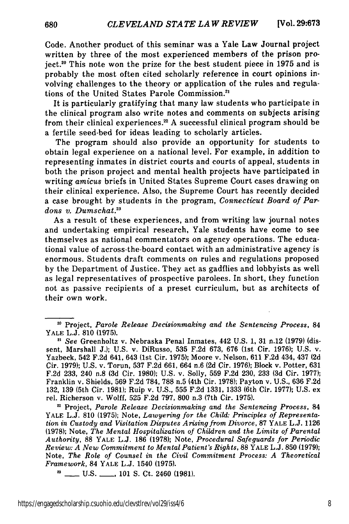Code. Another product of this seminar was a Yale Law Journal project written by three of the most experienced members of the prison project. 20 This note won the prize for the best student piece in 1975 and is probably the most often cited scholarly reference in court opinions involving challenges to the theory or application of the rules and regulations of the United States Parole Commission.<sup>21</sup>

It is particularly gratifying that many law students who participate in the clinical program also write notes and comments on subjects arising from their clinical experiences.<sup>22</sup> A successful clinical program should be a fertile seed-bed for ideas leading to scholarly articles.

The program should also provide an opportunity for students to obtain legal experience on a national level. For example, in addition to representing inmates in district courts and courts of appeal, students in both the prison project and mental health projects have participated in writing *amicus* briefs in United States Supreme Court cases drawing on their clinical experience. Also, the Supreme Court has recently decided a case brought by students in the program, *Connecticut Board of Pardons v. Dumschat.23*

As a result of these experiences, and from writing law journal notes and undertaking empirical research, Yale students have come to see themselves as national commentators on agency operations. The educational value of across-the-board contact with an administrative agency is enormous. Students draft comments on rules and regulations proposed by the Department of Justice. They act as gadflies and lobbyists as well as legal representatives of prospective parolees. In short, they function not as passive recipients of a preset curriculum, but as architects of their own work.

Project, *Parole Release Decisionmaking and the Sentencing Process,* 84 YALE L.J. 810 (1975); Note, *Lawyering for the Child: Principles of Representation in Custody and Visitation Disputes Arising from Divorce,* 87 YALE L.J. 1126 **(1978);** Note, *The Mental Hospitalization of Children and the Limits of Parental Authority,* 88 YALE L.J. 186 **(1978);** Note, *Procedural Safeguards for Periodic Review: A New Commitment to Mental Patient's Rights,* 88 YALE L.J. **850 (1979);** Note, *The Role of Counsel in the Civil Commitment Process: A Theoretical Framework,* 84 YALE L.J. 1540 (1975).

**3 \_** U.S. **\_** 101 S. Ct. 2460 (1981).

**<sup>20</sup>**Project, *Parole Release Decisionmaking and the Sentencing Process,* 84 YALE L.J. 810 (1975).

*<sup>21</sup> See* Greenholtz v. Nebraska Penal Inmates, 442 U.S. 1, 31 n.12 (1979) (dissent, Marshall J.); U.S. v. DiRusso, 535 F.2d 673, 676 (1st Cir. 1976); U.S. v. Yazbeck, 542 F.2d 641, 643 (1st Cir. 1975); Moore v. Nelson, 611 F.2d 434, 437 **(2d** Cir. 1979); U.S. v. Torun, 537 F.2d 661, 664 n.6 **(2d** Cir. 1976); Block v. Potter, 631 F.2d 233, 240 n.8 **(3d** Cir. 1980); U.S. v. Solly, 559 F.2d 230, 233 **(3d** Cir. 1977); Franklin v. Shields, 569 F.2d 784, 788 n.5 (4th Cir. 1978); Payton v. U.S., 636 F.2d 132, 139 (5th Cir. 1981); Ruip v. U.S., 555 F.2d 1331, 1333 (6th Cir. 1977); U.S. ex rel. Richerson v. Wolff, 525 F.2d 797, 800 n.3 (7th Cir. 1975).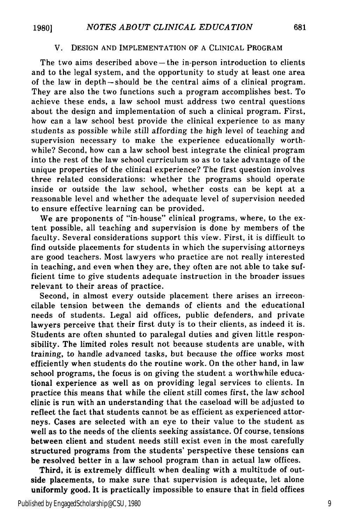#### V. DESIGN AND IMPLEMENTATION OF A CLINICAL PROGRAM

The two aims described above  $-$  the in-person introduction to clients and to the legal system, and the opportunity to study at least one area of the law in depth-should be the central aims of a clinical program. They are also the two functions such a program accomplishes best. To achieve these ends, a law school must address two central questions about the design and implementation of such a clinical program. First, how can a law school best provide the clinical experience to as many students as possible while still affording the high level of teaching and supervision necessary to make the experience educationally worthwhile? Second, how can a law school best integrate the clinical program into the rest of the law school curriculum so as to take advantage of the unique properties of the clinical experience? The first question involves three related considerations: whether the programs should operate inside or outside the law school, whether costs can be kept at a reasonable level and whether the adequate level of supervision needed to ensure effective learning can be provided.

We are proponents of "in-house" clinical programs, where, to the extent possible, all teaching and supervision is done by members of the faculty. Several considerations support this view. First, it is difficult to find outside placements for students in which the supervising attorneys are good teachers. Most lawyers who practice are not really interested in teaching, and even when they are, they often are not able to take sufficient time to give students adequate instruction in the broader issues relevant to their areas of practice.

Second, in almost every outside placement there arises an irreconcilable tension between the demands of clients and the educational needs of students. Legal aid offices, public defenders, and private lawyers perceive that their first duty is to their clients, as indeed it is. Students are often shunted to paralegal duties and given little responsibility. The limited roles result not because students are unable, with training, to handle advanced tasks, but because the office works most efficiently when students do the routine work. On the other hand, in law school programs, the focus is on giving the student a worthwhile educational experience as well as on providing legal services to clients. In practice this means that while the client still comes first, the law school clinic is run with an understanding that the caseload will be adjusted to reflect the fact that students cannot be as efficient as experienced attorneys. Cases are selected with an eye to their value to the student as well as to the needs of the clients seeking assistance. Of course, tensions between client and student needs still exist even in the most carefully structured programs from the students' perspective these tensions can be resolved better in a law school program than in actual law offices.

Third, it is extremely difficult when dealing with a multitude of outside placements, to make sure that supervision is adequate, let alone uniformly good. It is practically impossible to ensure that in field offices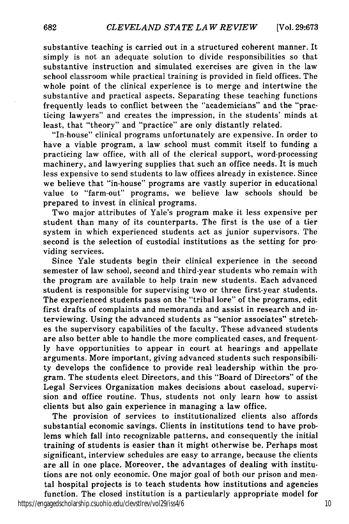substantive teaching is carried out in a structured coherent manner. It simply is not an adequate solution to divide responsibilities so that substantive instruction and simulated exercises are given in the law school classroom while practical training is provided in field offices. The whole point of the clinical experience is to merge and intertwine the substantive and practical aspects. Separating these teaching functions frequently leads to conflict between the "academicians" and the "practicing lawyers" and creates the impression, in the students' minds at least, that "theory" and "practice" are only distantly related.

"In-house" clinical programs unfortunately are expensive. In order to have a viable program, a law school must commit itself to funding a practicing law office, with all of the clerical support, word-processing machinery, and lawyering supplies that such an office needs. It is much less expensive to send students to law offices already in existence. Since we believe that "in-house" programs are vastly superior in educational value to "farm-out" programs, we believe law schools should be prepared to invest in clinical programs.

Two major attributes of Yale's program make it less expensive per student than many of its counterparts. The first is the use of a tier system in which experienced students act as junior supervisors. The second is the selection of custodial institutions as the setting for providing services.

Since Yale students begin their clinical experience in the second semester of law school, second and third-year students who remain with the program are available to help train new students. Each advanced student is responsible for supervising two or three first-year students. The experienced students pass on the "tribal lore" of the programs, edit first drafts of complaints and memoranda and assist in research and interviewing. Using the advanced students as "senior associates" stretches the supervisory capabilities of the faculty. These advanced students are also better able to handle the more complicated cases, and frequently have opportunities to appear in court at hearings and appellate arguments. More important, giving advanced students such responsibility develops the confidence to provide real leadership within the program. The students elect Directors, and this "Board of Directors" of the Legal Services Organization makes decisions about caseload, supervision and office routine. Thus, students not only learn how to assist clients but also gain experience in managing a law office.

The provision of services to institutionalized clients also affords substantial economic savings. Clients in institutions tend to have problems which fall into recognizable patterns, and consequently the initial training of students is easier than it might otherwise be. Perhaps most significant, interview schedules are easy to arrange, because the clients are all in one place. Moreover, the advantages of dealing with institutions are not only economic. One major goal of both our prison and mental hospital projects is to teach students how institutions and agencies function. The closed institution is a particularly appropriate model for

https://engagedscholarship.csuohio.edu/clevstlrev/vol29/iss4/6 10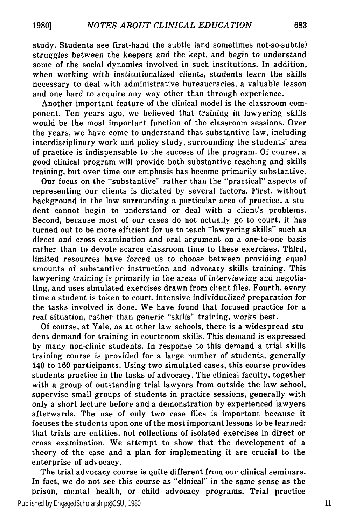study. Students see first-hand the subtle (and sometimes not-so-subtle) struggles between the keepers and the kept, and begin to understand some of the social dynamics involved in such institutions. In addition, when working with institutionalized clients, students learn the skills necessary to deal with administrative bureaucracies, a valuable lesson and one hard to acquire any way other than through experience.

Another important feature of the clinical model is the classroom component. Ten years ago, we believed that training in lawyering skills would be the most important function of the classroom sessions. Over the years, we have come to understand that substantive law, including interdisciplinary work and policy study, surrounding the students' area of practice is indispensable to the success of the program. Of course, a good clinical program will provide both substantive teaching and skills training, but over time our emphasis has become primarily substantive.

Our focus on the "substantive" rather than the "practical" aspects of representing our clients is dictated by several factors. First, without background in the law surrounding a particular area of practice, a student cannot begin to understand or deal with a client's problems. Second, because most of our cases do not actually go to court, it has turned out to be more efficient for us to teach "lawyering skills" such as direct and cross examination and oral argument on a one-to-one basis rather than to devote scarce classroom time to these exercises. Third, limited resources have forced us to choose between providing equal amounts of substantive instruction and advocacy skills training. This lawyering training is primarily in the areas of interviewing and negotiating, and uses simulated exercises drawn from client files. Fourth, every time a student is taken to court, intensive individualized preparation for the tasks involved is done. We have found that focused practice for a real situation, rather than generic "skills" training, works best.

Of course, at Yale, as at other law schools, there is a widespread student demand for training in courtroom skills. This demand is expressed by many non-clinic students. In response to this demand a trial skills training course is provided for a large number of students, generally 140 to 160 participants. Using two simulated cases, this course provides students practice in the tasks of advocacy. The clinical faculty, together with a group of outstanding trial lawyers from outside the law school, supervise small groups of students in practice sessions, generally with only a short lecture before and a demonstration by experienced lawyers afterwards. The use of only two case files is important because it focuses the students upon one of the most important lessons to be learned: that trials are entities, not collections of isolated exercises in direct or cross examination. We attempt to show that the development of a theory of the case and a plan for implementing it are crucial to the enterprise of advocacy.

The trial advocacy course is quite different from our clinical seminars. In fact, we do not see this course as "clinical" in the same sense as the prison, mental health, or child advocacy programs. Trial practice